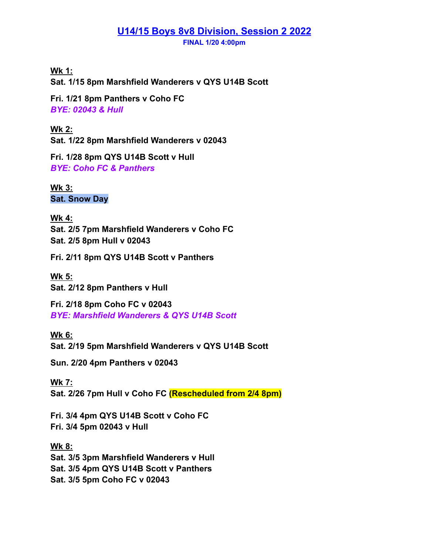## **U14/15 Boys 8v8 Division, Session 2 2022**

**FINAL 1/20 4:00pm**

**Wk 1: Sat. 1/15 8pm Marshfield Wanderers v QYS U14B Scott**

**Fri. 1/21 8pm Panthers v Coho FC** *BYE: 02043 & Hull*

**Wk 2: Sat. 1/22 8pm Marshfield Wanderers v 02043**

**Fri. 1/28 8pm QYS U14B Scott v Hull** *BYE: Coho FC & Panthers*

**Wk 3: Sat. Snow Day**

**Wk 4: Sat. 2/5 7pm Marshfield Wanderers v Coho FC Sat. 2/5 8pm Hull v 02043**

**Fri. 2/11 8pm QYS U14B Scott v Panthers**

**Wk 5: Sat. 2/12 8pm Panthers v Hull**

**Fri. 2/18 8pm Coho FC v 02043** *BYE: Marshfield Wanderers & QYS U14B Scott*

**Wk 6: Sat. 2/19 5pm Marshfield Wanderers v QYS U14B Scott**

**Sun. 2/20 4pm Panthers v 02043**

**Wk 7: Sat. 2/26 7pm Hull v Coho FC (Rescheduled from 2/4 8pm)**

**Fri. 3/4 4pm QYS U14B Scott v Coho FC Fri. 3/4 5pm 02043 v Hull**

**Wk 8: Sat. 3/5 3pm Marshfield Wanderers v Hull Sat. 3/5 4pm QYS U14B Scott v Panthers Sat. 3/5 5pm Coho FC v 02043**